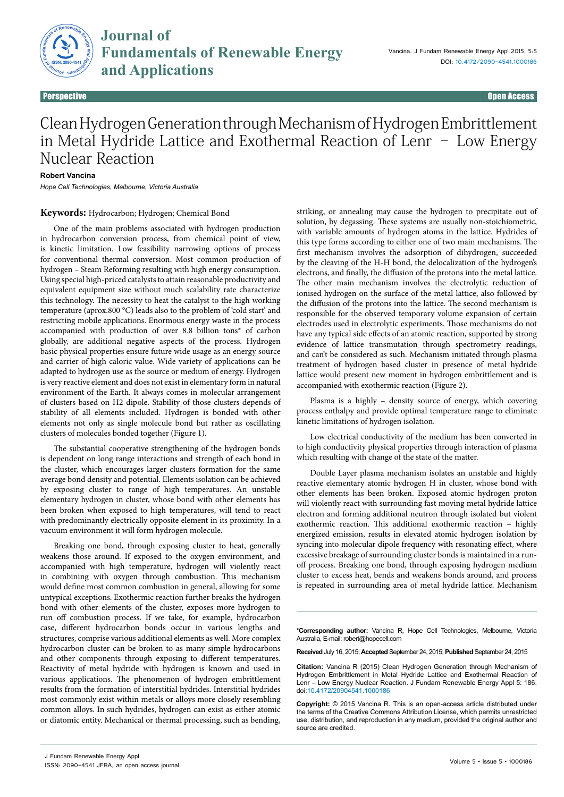

**Journal of Fundamentals of Renewable Energy** Fundamentals of

Perspective Open Access

## Clean Hydrogen Generation through Mechanism of Hydrogen Embrittlement in Metal Hydride Lattice and Exothermal Reaction of Lenr – Low Energy Nuclear Reaction

## **Robert Vancina**

*Hope Cell Technologies, Melbourne, Victoria Australia*

## **Keywords:** Hydrocarbon; Hydrogen; Chemical Bond

One of the main problems associated with hydrogen production in hydrocarbon conversion process, from chemical point of view, is kinetic limitation. Low feasibility narrowing options of process for conventional thermal conversion. Most common production of hydrogen – Steam Reforming resulting with high energy consumption. Using special high-priced catalysts to attain reasonable productivity and equivalent equipment size without much scalability rate characterize this technology. The necessity to heat the catalyst to the high working temperature (aprox.800 °C) leads also to the problem of 'cold start' and restricting mobile applications. Enormous energy waste in the process accompanied with production of over 8.8 billion tons\* of carbon globally, are additional negative aspects of the process. Hydrogen basic physical properties ensure future wide usage as an energy source and carrier of high caloric value. Wide variety of applications can be adapted to hydrogen use as the source or medium of energy. Hydrogen is very reactive element and does not exist in elementary form in natural environment of the Earth. It always comes in molecular arrangement of clusters based on H2 dipole. Stability of those clusters depends of stability of all elements included. Hydrogen is bonded with other elements not only as single molecule bond but rather as oscillating clusters of molecules bonded together (Figure 1).

The substantial cooperative strengthening of the hydrogen bonds is dependent on long range interactions and strength of each bond in the cluster, which encourages larger clusters formation for the same average bond density and potential. Elements isolation can be achieved by exposing cluster to range of high temperatures. An unstable elementary hydrogen in cluster, whose bond with other elements has been broken when exposed to high temperatures, will tend to react with predominantly electrically opposite element in its proximity. In a vacuum environment it will form hydrogen molecule.

Breaking one bond, through exposing cluster to heat, generally weakens those around. If exposed to the oxygen environment, and accompanied with high temperature, hydrogen will violently react in combining with oxygen through combustion. This mechanism would define most common combustion in general, allowing for some untypical exceptions. Exothermic reaction further breaks the hydrogen bond with other elements of the cluster, exposes more hydrogen to run off combustion process. If we take, for example, hydrocarbon case, different hydrocarbon bonds occur in various lengths and structures, comprise various additional elements as well. More complex hydrocarbon cluster can be broken to as many simple hydrocarbons and other components through exposing to different temperatures. Reactivity of metal hydride with hydrogen is known and used in various applications. The phenomenon of hydrogen embrittlement results from the formation of interstitial hydrides. Interstitial hydrides most commonly exist within metals or alloys more closely resembling common alloys. In such hydrides, hydrogen can exist as either atomic or diatomic entity. Mechanical or thermal processing, such as bending,

striking, or annealing may cause the hydrogen to precipitate out of solution, by degassing. These systems are usually non-stoichiometric, with variable amounts of hydrogen atoms in the lattice. Hydrides of this type forms according to either one of two main mechanisms. The first mechanism involves the adsorption of dihydrogen, succeeded by the cleaving of the H-H bond, the delocalization of the hydrogen's electrons, and finally, the diffusion of the protons into the metal lattice. The other main mechanism involves the electrolytic reduction of ionised hydrogen on the surface of the metal lattice, also followed by the diffusion of the protons into the lattice. The second mechanism is responsible for the observed temporary volume expansion of certain electrodes used in electrolytic experiments. Those mechanisms do not have any typical side effects of an atomic reaction, supported by strong evidence of lattice transmutation through spectrometry readings, and can't be considered as such. Mechanism initiated through plasma treatment of hydrogen based cluster in presence of metal hydride lattice would present new moment in hydrogen embrittlement and is accompanied with exothermic reaction (Figure 2).

Plasma is a highly – density source of energy, which covering process enthalpy and provide optimal temperature range to eliminate kinetic limitations of hydrogen isolation.

Low electrical conductivity of the medium has been converted in to high conductivity physical properties through interaction of plasma which resulting with change of the state of the matter.

Double Layer plasma mechanism isolates an unstable and highly reactive elementary atomic hydrogen H in cluster, whose bond with other elements has been broken. Exposed atomic hydrogen proton will violently react with surrounding fast moving metal hydride lattice electron and forming additional neutron through isolated but violent exothermic reaction. This additional exothermic reaction – highly energized emission, results in elevated atomic hydrogen isolation by syncing into molecular dipole frequency with resonating effect, where excessive breakage of surrounding cluster bonds is maintained in a runoff process. Breaking one bond, through exposing hydrogen medium cluster to excess heat, bends and weakens bonds around, and process is repeated in surrounding area of metal hydride lattice. Mechanism

**\*Corresponding author:** Vancina R, Hope Cell Technologies, Melbourne, Victoria Australia, E-mail: robert@hopecell.com

**Received** July 16, 2015; **Accepted**September 24, 2015; **Published**September 24, 2015

**Citation:** Vancina R (2015) Clean Hydrogen Generation through Mechanism of Hydrogen Embrittlement in Metal Hydride Lattice and Exothermal Reaction of Lenr – Low Energy Nuclear Reaction. J Fundam Renewable Energy Appl 5: 186. doi:10.4172/20904541.1000186

**Copyright:** © 2015 Vancina R. This is an open-access article distributed under the terms of the Creative Commons Attribution License, which permits unrestricted use, distribution, and reproduction in any medium, provided the original author and source are credited.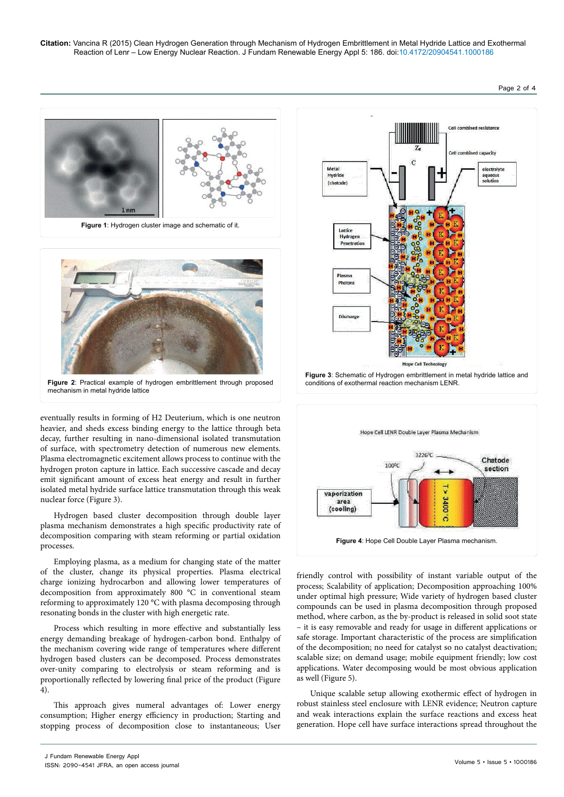

eventually results in forming of H2 Deuterium, which is one neutron heavier, and sheds excess binding energy to the lattice through beta decay, further resulting in nano-dimensional isolated transmutation of surface, with spectrometry detection of numerous new elements. Plasma electromagnetic excitement allows process to continue with the hydrogen proton capture in lattice. Each successive cascade and decay emit significant amount of excess heat energy and result in further isolated metal hydride surface lattice transmutation through this weak nuclear force (Figure 3).

Hydrogen based cluster decomposition through double layer plasma mechanism demonstrates a high specific productivity rate of decomposition comparing with steam reforming or partial oxidation processes.

Employing plasma, as a medium for changing state of the matter of the cluster, change its physical properties. Plasma electrical charge ionizing hydrocarbon and allowing lower temperatures of decomposition from approximately 800 °C in conventional steam reforming to approximately 120 °C with plasma decomposing through resonating bonds in the cluster with high energetic rate.

Process which resulting in more effective and substantially less energy demanding breakage of hydrogen-carbon bond. Enthalpy of the mechanism covering wide range of temperatures where different hydrogen based clusters can be decomposed. Process demonstrates over-unity comparing to electrolysis or steam reforming and is proportionally reflected by lowering final price of the product (Figure 4).

This approach gives numeral advantages of: Lower energy consumption; Higher energy efficiency in production; Starting and stopping process of decomposition close to instantaneous; User





friendly control with possibility of instant variable output of the process; Scalability of application; Decomposition approaching 100% under optimal high pressure; Wide variety of hydrogen based cluster compounds can be used in plasma decomposition through proposed method, where carbon, as the by-product is released in solid soot state – it is easy removable and ready for usage in different applications or safe storage. Important characteristic of the process are simplification of the decomposition; no need for catalyst so no catalyst deactivation; scalable size; on demand usage; mobile equipment friendly; low cost applications. Water decomposing would be most obvious application as well (Figure 5).

Unique scalable setup allowing exothermic effect of hydrogen in robust stainless steel enclosure with LENR evidence; Neutron capture and weak interactions explain the surface reactions and excess heat generation. Hope cell have surface interactions spread throughout the